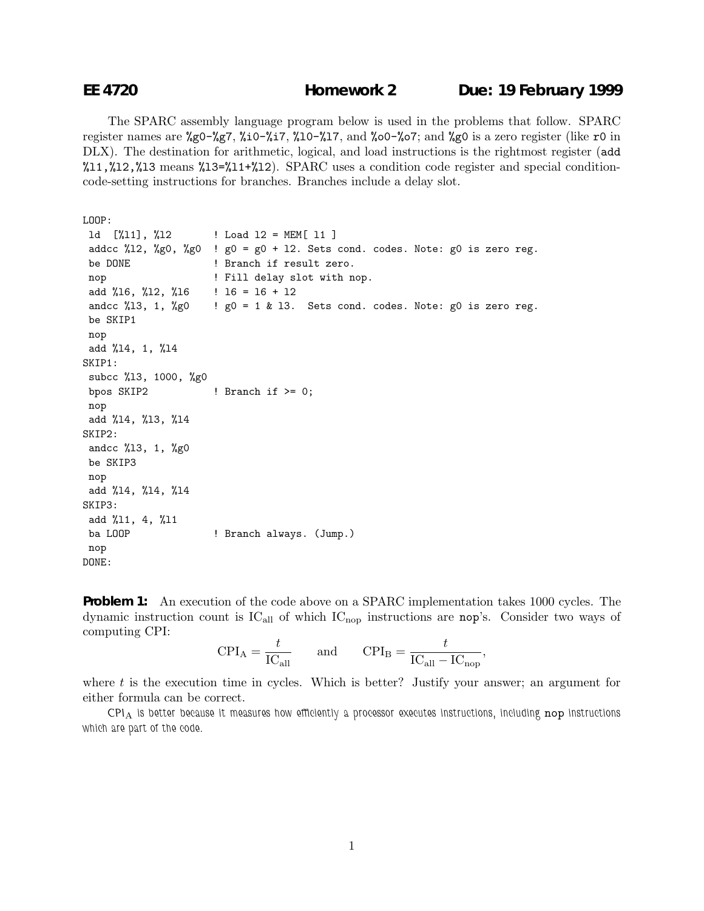The SPARC assembly language program below is used in the problems that follow. SPARC register names are %g0-%g7, %i0-%i7, %l0-%l7, and %o0-%o7; and %g0 is a zero register (like r0 in DLX). The destination for arithmetic, logical, and load instructions is the rightmost register (add  $11,\frac{12}{12},\frac{12}{13}$  means  $13=\frac{11+\frac{12}{12}}{12}$ . SPARC uses a condition code register and special conditioncode-setting instructions for branches. Branches include a delay slot.

```
LOOP:
```

```
ld [%l1], %l2 ! Load l2 = MEM[ l1 ]
addcc %12, %g0, %g0 ! g0 = g0 + 12. Sets cond. codes. Note: g0 is zero reg.
be DONE ! Branch if result zero.
nop \qquad ! Fill delay slot with nop.
add %16, %12, %16 = 16 + 12andcc %13, 1, %g0 ! g0 = 1 & 13. Sets cond. codes. Note: g0 is zero reg.
be SKIP1
nop
add %l4, 1, %l4
SKIP1:
subcc %l3, 1000, %g0
bpos SKIP2 ! Branch if > = 0;
nop
add %l4, %l3, %l4
SKIP2:
andcc %l3, 1, %g0
be SKIP3
nop
add %l4, %l4, %l4
SKIP3:
add %l1, 4, %l1
ba LOOP ! Branch always. (Jump.)
nop
DONE:
```
**Problem 1:** An execution of the code above on a SPARC implementation takes 1000 cycles. The dynamic instruction count is  $IC_{all}$  of which  $IC_{nop}$  instructions are nop's. Consider two ways of computing CPI:

$$
CPI_A = \frac{t}{IC_{\text{all}}} \qquad \text{and} \qquad CPI_B = \frac{t}{IC_{\text{all}} - IC_{\text{nop}}},
$$

where  $t$  is the execution time in cycles. Which is better? Justify your answer; an argument for either formula can be correct.

*CPI*<sup>A</sup> *is better because it measures how efficiently a processor executes instructions, including* nop *instructions which are part of the code.*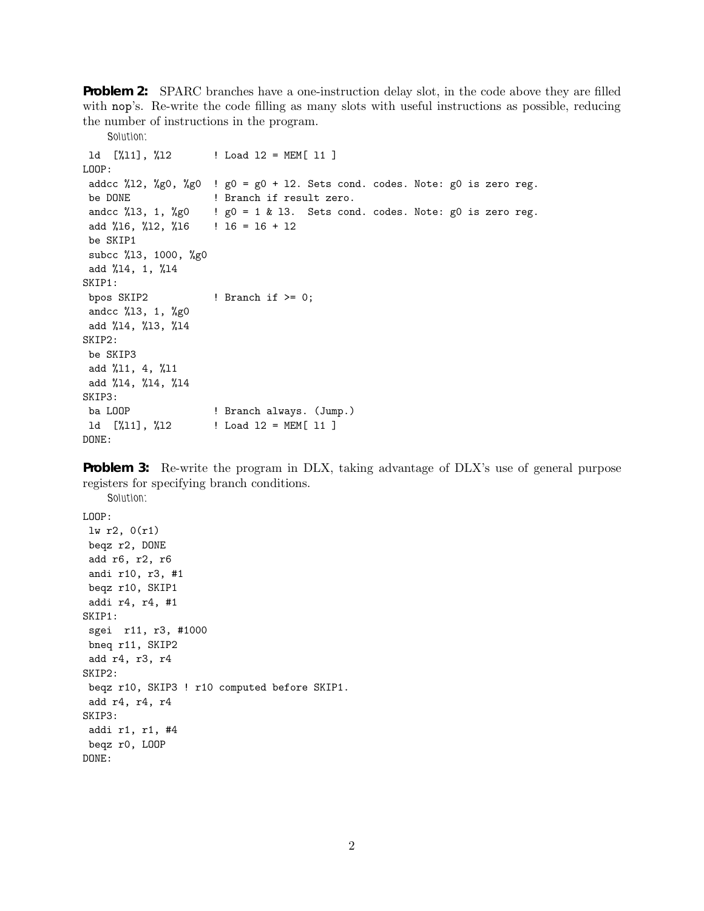**Problem 2:** SPARC branches have a one-instruction delay slot, in the code above they are filled with nop's. Re-write the code filling as many slots with useful instructions as possible, reducing the number of instructions in the program.

```
Solution:
ld [%l1], %l2 ! Load l2 = MEM[ l1 ]
LOOP:
addcc %12, %g0, %g0 ! g0 = g0 + 12. Sets cond. codes. Note: g0 is zero reg.
be DONE ! Branch if result zero.
andcc %13, 1, %g0 ! g0 = 1 & 13. Sets cond. codes. Note: g0 is zero reg.
add %16, %12, %16 = 16 + 12be SKIP1
subcc %l3, 1000, %g0
add %l4, 1, %l4
SKIP1:
bpos SKIP2 ! Branch if > = 0;
andcc %l3, 1, %g0
add %l4, %l3, %l4
SKIP2:
be SKIP3
add %l1, 4, %l1
add %l4, %l4, %l4
SKIP3:
ba LOOP ! Branch always. (Jump.)
1d [%11], %12 ! Load 12 = MEM[ 11 ]
DONE:
```
**Problem 3:** Re-write the program in DLX, taking advantage of DLX's use of general purpose registers for specifying branch conditions.

```
Solution:
LOOP:
lw r2, 0(r1)
beqz r2, DONE
add r6, r2, r6
andi r10, r3, #1
beqz r10, SKIP1
addi r4, r4, #1
SKIP1:
sgei r11, r3, #1000
bneq r11, SKIP2
add r4, r3, r4
SKIP2:
beqz r10, SKIP3 ! r10 computed before SKIP1.
add r4, r4, r4
SKIP3:
addi r1, r1, #4
beqz r0, LOOP
DONE:
```